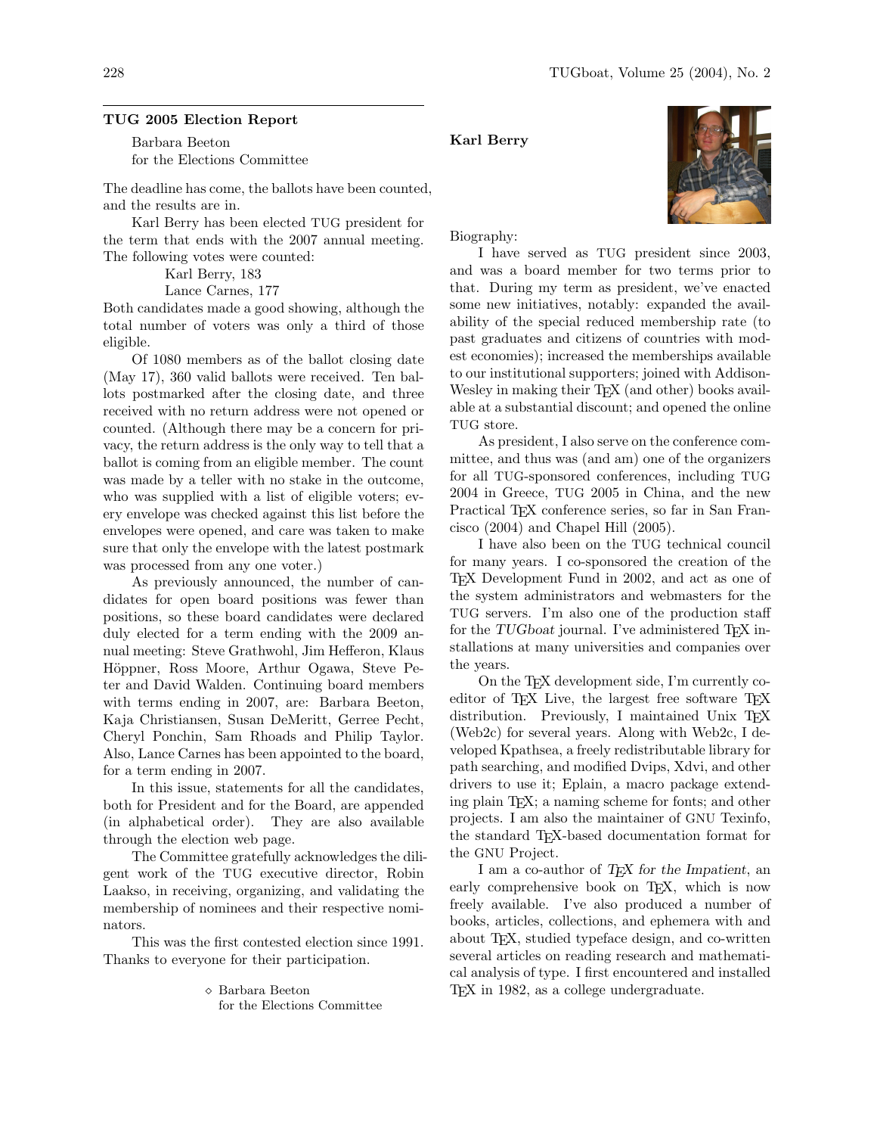### TUG 2005 Election Report

Barbara Beeton for the Elections Committee

The deadline has come, the ballots have been counted, and the results are in.

Karl Berry has been elected TUG president for the term that ends with the 2007 annual meeting. The following votes were counted:

Karl Berry, 183

Lance Carnes, 177

Both candidates made a good showing, although the total number of voters was only a third of those eligible.

Of 1080 members as of the ballot closing date (May 17), 360 valid ballots were received. Ten ballots postmarked after the closing date, and three received with no return address were not opened or counted. (Although there may be a concern for privacy, the return address is the only way to tell that a ballot is coming from an eligible member. The count was made by a teller with no stake in the outcome, who was supplied with a list of eligible voters; every envelope was checked against this list before the envelopes were opened, and care was taken to make sure that only the envelope with the latest postmark was processed from any one voter.)

As previously announced, the number of candidates for open board positions was fewer than positions, so these board candidates were declared duly elected for a term ending with the 2009 annual meeting: Steve Grathwohl, Jim Hefferon, Klaus Höppner, Ross Moore, Arthur Ogawa, Steve Peter and David Walden. Continuing board members with terms ending in 2007, are: Barbara Beeton, Kaja Christiansen, Susan DeMeritt, Gerree Pecht, Cheryl Ponchin, Sam Rhoads and Philip Taylor. Also, Lance Carnes has been appointed to the board, for a term ending in 2007.

In this issue, statements for all the candidates, both for President and for the Board, are appended (in alphabetical order). They are also available through the election web page.

The Committee gratefully acknowledges the diligent work of the TUG executive director, Robin Laakso, in receiving, organizing, and validating the membership of nominees and their respective nominators.

This was the first contested election since 1991. Thanks to everyone for their participation.

 Barbara Beeton for the Elections Committee

## Karl Berry



Biography:

I have served as TUG president since 2003, and was a board member for two terms prior to that. During my term as president, we've enacted some new initiatives, notably: expanded the availability of the special reduced membership rate (to past graduates and citizens of countries with modest economies); increased the memberships available to our institutional supporters; joined with Addison-Wesley in making their T<sub>E</sub>X (and other) books available at a substantial discount; and opened the online TUG store.

As president, I also serve on the conference committee, and thus was (and am) one of the organizers for all TUG-sponsored conferences, including TUG 2004 in Greece, TUG 2005 in China, and the new Practical TFX conference series, so far in San Francisco (2004) and Chapel Hill (2005).

I have also been on the TUG technical council for many years. I co-sponsored the creation of the TEX Development Fund in 2002, and act as one of the system administrators and webmasters for the TUG servers. I'm also one of the production staff for the TUGboat journal. I've administered T<sub>F</sub>X installations at many universities and companies over the years.

On the TEX development side, I'm currently coeditor of TEX Live, the largest free software TEX distribution. Previously, I maintained Unix TFX (Web2c) for several years. Along with Web2c, I developed Kpathsea, a freely redistributable library for path searching, and modified Dvips, Xdvi, and other drivers to use it; Eplain, a macro package extending plain TEX; a naming scheme for fonts; and other projects. I am also the maintainer of GNU Texinfo, the standard TEX-based documentation format for the GNU Project.

I am a co-author of T<sub>F</sub>X for the Impatient, an early comprehensive book on T<sub>E</sub>X, which is now freely available. I've also produced a number of books, articles, collections, and ephemera with and about TEX, studied typeface design, and co-written several articles on reading research and mathematical analysis of type. I first encountered and installed TEX in 1982, as a college undergraduate.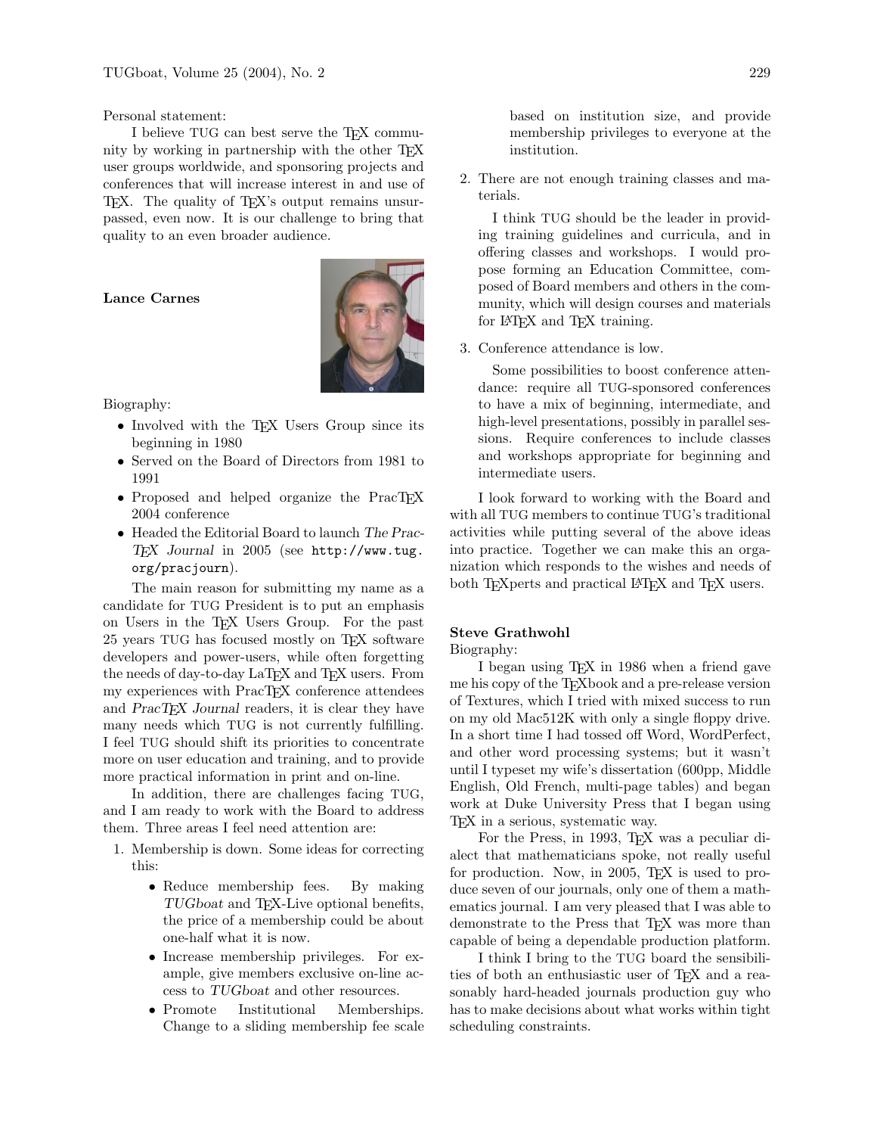Personal statement:

I believe TUG can best serve the T<sub>E</sub>X community by working in partnership with the other TEX user groups worldwide, and sponsoring projects and conferences that will increase interest in and use of TEX. The quality of TEX's output remains unsurpassed, even now. It is our challenge to bring that quality to an even broader audience.

### Lance Carnes



Biography:

- Involved with the TEX Users Group since its beginning in 1980
- Served on the Board of Directors from 1981 to 1991
- Proposed and helped organize the PracT<sub>EX</sub> 2004 conference
- Headed the Editorial Board to launch The Prac-TEX Journal in 2005 (see http://www.tug. org/pracjourn).

The main reason for submitting my name as a candidate for TUG President is to put an emphasis on Users in the TEX Users Group. For the past 25 years TUG has focused mostly on TEX software developers and power-users, while often forgetting the needs of day-to-day LaT<sub>F</sub>X and T<sub>F</sub>X users. From my experiences with PracT<sub>EX</sub> conference attendees and  $PracT<sub>F</sub>X Journal readers, it is clear they have$ many needs which TUG is not currently fulfilling. I feel TUG should shift its priorities to concentrate more on user education and training, and to provide more practical information in print and on-line.

In addition, there are challenges facing TUG, and I am ready to work with the Board to address them. Three areas I feel need attention are:

- 1. Membership is down. Some ideas for correcting this:
	- Reduce membership fees. By making TUGboat and TEX-Live optional benefits, the price of a membership could be about one-half what it is now.
	- Increase membership privileges. For example, give members exclusive on-line access to TUGboat and other resources.
	- Promote Institutional Memberships. Change to a sliding membership fee scale

based on institution size, and provide membership privileges to everyone at the institution.

2. There are not enough training classes and materials.

I think TUG should be the leader in providing training guidelines and curricula, and in offering classes and workshops. I would propose forming an Education Committee, composed of Board members and others in the community, which will design courses and materials for LAT<sub>EX</sub> and T<sub>EX</sub> training.

3. Conference attendance is low.

Some possibilities to boost conference attendance: require all TUG-sponsored conferences to have a mix of beginning, intermediate, and high-level presentations, possibly in parallel sessions. Require conferences to include classes and workshops appropriate for beginning and intermediate users.

I look forward to working with the Board and with all TUG members to continue TUG's traditional activities while putting several of the above ideas into practice. Together we can make this an organization which responds to the wishes and needs of both TEXperts and practical L<sup>AT</sup>EX and TEX users.

## Steve Grathwohl

#### Biography:

I began using TEX in 1986 when a friend gave me his copy of the T<sub>E</sub>Xbook and a pre-release version of Textures, which I tried with mixed success to run on my old Mac512K with only a single floppy drive. In a short time I had tossed off Word, WordPerfect, and other word processing systems; but it wasn't until I typeset my wife's dissertation (600pp, Middle English, Old French, multi-page tables) and began work at Duke University Press that I began using TEX in a serious, systematic way.

For the Press, in 1993, TEX was a peculiar dialect that mathematicians spoke, not really useful for production. Now, in 2005, T<sub>E</sub>X is used to produce seven of our journals, only one of them a mathematics journal. I am very pleased that I was able to demonstrate to the Press that TFX was more than capable of being a dependable production platform.

I think I bring to the TUG board the sensibilities of both an enthusiastic user of TEX and a reasonably hard-headed journals production guy who has to make decisions about what works within tight scheduling constraints.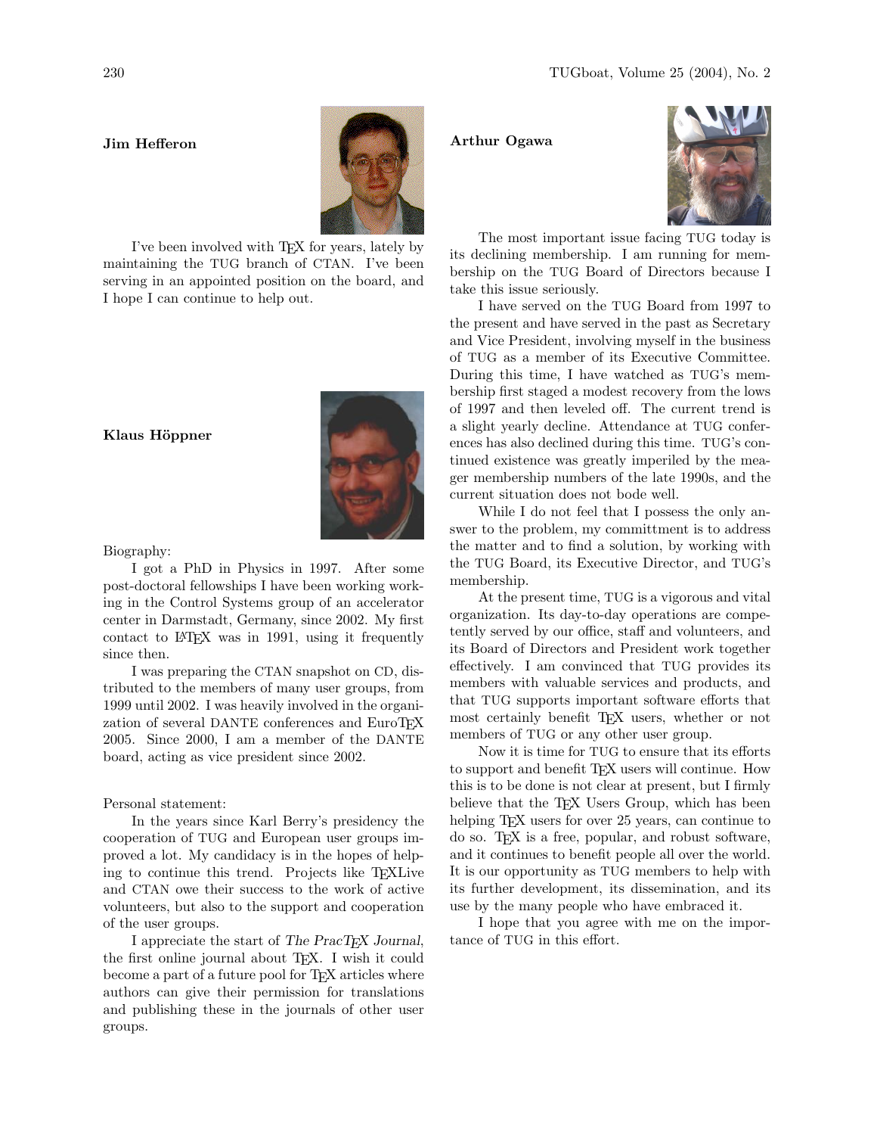### Jim Hefferon



I've been involved with TEX for years, lately by maintaining the TUG branch of CTAN. I've been serving in an appointed position on the board, and I hope I can continue to help out.

# Klaus Höppner



I got a PhD in Physics in 1997. After some post-doctoral fellowships I have been working working in the Control Systems group of an accelerator center in Darmstadt, Germany, since 2002. My first contact to LAT<sub>EX</sub> was in 1991, using it frequently since then.

I was preparing the CTAN snapshot on CD, distributed to the members of many user groups, from 1999 until 2002. I was heavily involved in the organization of several DANTE conferences and EuroTEX 2005. Since 2000, I am a member of the DANTE board, acting as vice president since 2002.

Personal statement:

In the years since Karl Berry's presidency the cooperation of TUG and European user groups improved a lot. My candidacy is in the hopes of helping to continue this trend. Projects like TEXLive and CTAN owe their success to the work of active volunteers, but also to the support and cooperation of the user groups.

I appreciate the start of The PracT<sub>EX</sub> Journal, the first online journal about TEX. I wish it could become a part of a future pool for T<sub>E</sub>X articles where authors can give their permission for translations and publishing these in the journals of other user groups.

## Arthur Ogawa



The most important issue facing TUG today is its declining membership. I am running for membership on the TUG Board of Directors because I take this issue seriously.

I have served on the TUG Board from 1997 to the present and have served in the past as Secretary and Vice President, involving myself in the business of TUG as a member of its Executive Committee. During this time, I have watched as TUG's membership first staged a modest recovery from the lows of 1997 and then leveled off. The current trend is a slight yearly decline. Attendance at TUG conferences has also declined during this time. TUG's continued existence was greatly imperiled by the meager membership numbers of the late 1990s, and the current situation does not bode well.

While I do not feel that I possess the only answer to the problem, my committment is to address the matter and to find a solution, by working with the TUG Board, its Executive Director, and TUG's membership.

At the present time, TUG is a vigorous and vital organization. Its day-to-day operations are competently served by our office, staff and volunteers, and its Board of Directors and President work together effectively. I am convinced that TUG provides its members with valuable services and products, and that TUG supports important software efforts that most certainly benefit TEX users, whether or not members of TUG or any other user group.

Now it is time for TUG to ensure that its efforts to support and benefit TEX users will continue. How this is to be done is not clear at present, but I firmly believe that the TEX Users Group, which has been helping T<sub>E</sub>X users for over 25 years, can continue to do so. TEX is a free, popular, and robust software, and it continues to benefit people all over the world. It is our opportunity as TUG members to help with its further development, its dissemination, and its use by the many people who have embraced it.

I hope that you agree with me on the importance of TUG in this effort.